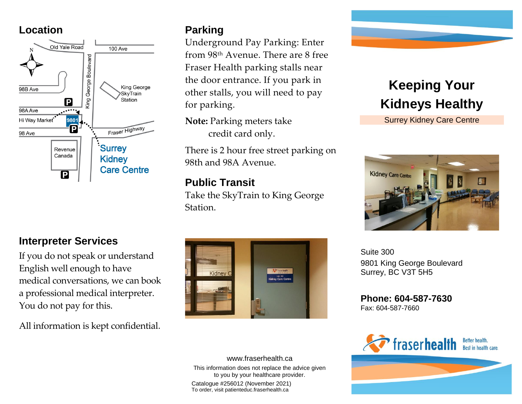#### **Location**



# **Interpreter Services**

If you do not speak or understand English well enough to have medical conversations, we can book a professional medical interpreter. You do not pay for this.

All information is kept confidential.

### **Parking**

Underground Pay Parking: Enter from 98th Avenue. There are 8 free Fraser Health parking stalls near the door entrance. If you park in other stalls, you will need to pay for parking.

**Note:** Parking meters take credit card only.

There is 2 hour free street parking on 98th and 98A Avenue.

### **Public Transit**

Take the SkyTrain to King George Station.



This information does not replace the advice given to you by your healthcare provider. Catalogue #256012 (November 2021) To order, visit patienteduc.fraserhealth.ca

www.fraserhealth.ca



Surrey Kidney Care Centre



Suite 300 9801 King George Boulevard Surrey, BC V3T 5H5

**Phone: 604-587-7630** Fax: 604-587-7660